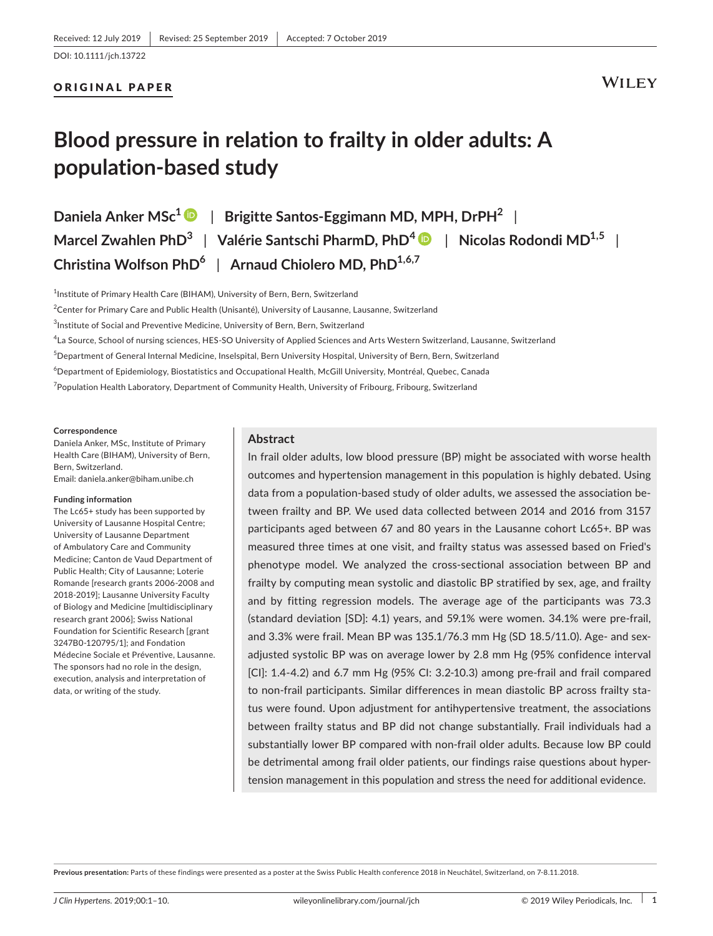## ORIGINAL PAPER

# **Blood pressure in relation to frailty in older adults: A population‐based study**

**Daniela Anker MSc[1](https://orcid.org/0000-0002-0607-0283)** | **Brigitte Santos‐Eggimann MD, MPH, DrPH2** | **Marcel Zwahlen PhD3** | **Valérie Santschi PharmD, PhD[4](https://orcid.org/0000-0002-4452-8857)** | **Nicolas Rodondi MD1,5** | **Christina Wolfson PhD6** | **Arnaud Chiolero MD, PhD1,6,7**

 $^{\rm 1}$ Institute of Primary Health Care (BIHAM), University of Bern, Bern, Switzerland

 $^2$ Center for Primary Care and Public Health (Unisanté), University of Lausanne, Lausanne, Switzerland

 $^3$ Institute of Social and Preventive Medicine, University of Bern, Bern, Switzerland

4 La Source, School of nursing sciences, HES‐SO University of Applied Sciences and Arts Western Switzerland, Lausanne, Switzerland

5 Department of General Internal Medicine, Inselspital, Bern University Hospital, University of Bern, Bern, Switzerland

6 Department of Epidemiology, Biostatistics and Occupational Health, McGill University, Montréal, Quebec, Canada

<sup>7</sup> Population Health Laboratory, Department of Community Health, University of Fribourg, Fribourg, Switzerland

#### **Correspondence**

Daniela Anker, MSc, Institute of Primary Health Care (BIHAM), University of Bern, Bern, Switzerland. Email: [daniela.anker@biham.unibe.ch](mailto:daniela.anker@biham.unibe.ch)

#### **Funding information**

The Lc65+ study has been supported by University of Lausanne Hospital Centre; University of Lausanne Department of Ambulatory Care and Community Medicine; Canton de Vaud Department of Public Health; City of Lausanne; Loterie Romande [research grants 2006‐2008 and 2018‐2019]; Lausanne University Faculty of Biology and Medicine [multidisciplinary research grant 2006]; Swiss National Foundation for Scientific Research [grant 3247B0‐120795/1]; and Fondation Médecine Sociale et Préventive, Lausanne. The sponsors had no role in the design, execution, analysis and interpretation of data, or writing of the study.

## **Abstract**

In frail older adults, low blood pressure (BP) might be associated with worse health outcomes and hypertension management in this population is highly debated. Using data from a population-based study of older adults, we assessed the association between frailty and BP. We used data collected between 2014 and 2016 from 3157 participants aged between 67 and 80 years in the Lausanne cohort Lc65+. BP was measured three times at one visit, and frailty status was assessed based on Fried's phenotype model. We analyzed the cross‐sectional association between BP and frailty by computing mean systolic and diastolic BP stratified by sex, age, and frailty and by fitting regression models. The average age of the participants was 73.3 (standard deviation [SD]: 4.1) years, and 59.1% were women. 34.1% were pre‐frail, and 3.3% were frail. Mean BP was 135.1/76.3 mm Hg (SD 18.5/11.0). Age- and sexadjusted systolic BP was on average lower by 2.8 mm Hg (95% confidence interval [CI]: 1.4‐4.2) and 6.7 mm Hg (95% CI: 3.2‐10.3) among pre‐frail and frail compared to non-frail participants. Similar differences in mean diastolic BP across frailty status were found. Upon adjustment for antihypertensive treatment, the associations between frailty status and BP did not change substantially. Frail individuals had a substantially lower BP compared with non-frail older adults. Because low BP could be detrimental among frail older patients, our findings raise questions about hyper‐ tension management in this population and stress the need for additional evidence.

**Previous presentation:** Parts of these findings were presented as a poster at the Swiss Public Health conference 2018 in Neuchâtel, Switzerland, on 7‐8.11.2018.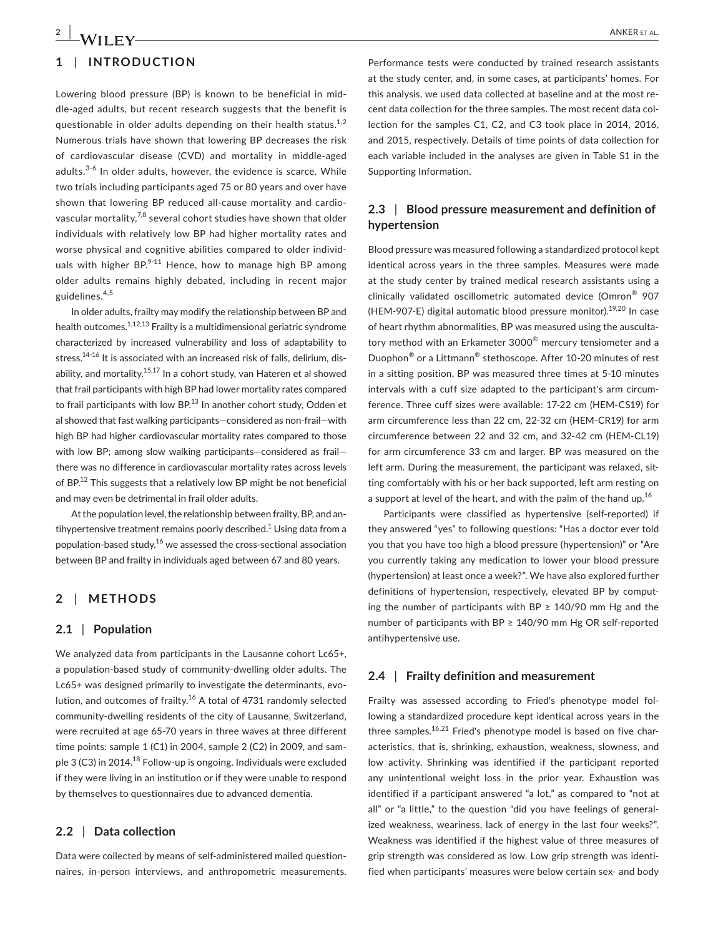# **1** | **INTRODUCTION**

Lowering blood pressure (BP) is known to be beneficial in mid‐ dle‐aged adults, but recent research suggests that the benefit is questionable in older adults depending on their health status. $1,2$ Numerous trials have shown that lowering BP decreases the risk of cardiovascular disease (CVD) and mortality in middle‐aged adults. $3-6$  In older adults, however, the evidence is scarce. While two trials including participants aged 75 or 80 years and over have shown that lowering BP reduced all-cause mortality and cardiovascular mortality,7,8 several cohort studies have shown that older individuals with relatively low BP had higher mortality rates and worse physical and cognitive abilities compared to older individuals with higher  $BP^{9-11}$  Hence, how to manage high BP among older adults remains highly debated, including in recent major guidelines.4,5

In older adults, frailty may modify the relationship between BP and health outcomes.<sup>1,12,13</sup> Frailty is a multidimensional geriatric syndrome characterized by increased vulnerability and loss of adaptability to stress.<sup>14-16</sup> It is associated with an increased risk of falls, delirium, disability, and mortality.15,17 In a cohort study, van Hateren et al showed that frail participants with high BP had lower mortality rates compared to frail participants with low BP.<sup>13</sup> In another cohort study, Odden et al showed that fast walking participants—considered as non‐frail—with high BP had higher cardiovascular mortality rates compared to those with low BP; among slow walking participants—considered as frail there was no difference in cardiovascular mortality rates across levels of BP.<sup>12</sup> This suggests that a relatively low BP might be not beneficial and may even be detrimental in frail older adults.

At the population level, the relationship between frailty, BP, and antihypertensive treatment remains poorly described.<sup>1</sup> Using data from a population-based study, $^{16}$  we assessed the cross-sectional association between BP and frailty in individuals aged between 67 and 80 years.

## **2** | **METHODS**

### **2.1** | **Population**

We analyzed data from participants in the Lausanne cohort Lc65+, a population‐based study of community‐dwelling older adults. The Lc65+ was designed primarily to investigate the determinants, evolution, and outcomes of frailty.<sup>16</sup> A total of 4731 randomly selected community‐dwelling residents of the city of Lausanne, Switzerland, were recruited at age 65‐70 years in three waves at three different time points: sample 1 (C1) in 2004, sample 2 (C2) in 2009, and sam‐ ple 3 (C3) in 2014.<sup>18</sup> Follow-up is ongoing. Individuals were excluded if they were living in an institution or if they were unable to respond by themselves to questionnaires due to advanced dementia.

## **2.2** | **Data collection**

Data were collected by means of self‐administered mailed question‐ naires, in‐person interviews, and anthropometric measurements.

Performance tests were conducted by trained research assistants at the study center, and, in some cases, at participants' homes. For this analysis, we used data collected at baseline and at the most re‐ cent data collection for the three samples. The most recent data collection for the samples C1, C2, and C3 took place in 2014, 2016, and 2015, respectively. Details of time points of data collection for each variable included in the analyses are given in Table S1 in the Supporting Information.

## **2.3** | **Blood pressure measurement and definition of hypertension**

Blood pressure was measured following a standardized protocol kept identical across years in the three samples. Measures were made at the study center by trained medical research assistants using a clinically validated oscillometric automated device (Omron® 907 (HEM-907-E) digital automatic blood pressure monitor).<sup>19,20</sup> In case of heart rhythm abnormalities, BP was measured using the ausculta‐ tory method with an Erkameter 3000<sup>®</sup> mercury tensiometer and a Duophon® or a Littmann® stethoscope. After 10‐20 minutes of rest in a sitting position, BP was measured three times at 5‐10 minutes intervals with a cuff size adapted to the participant's arm circum‐ ference. Three cuff sizes were available: 17‐22 cm (HEM‐CS19) for arm circumference less than 22 cm, 22‐32 cm (HEM‐CR19) for arm circumference between 22 and 32 cm, and 32‐42 cm (HEM‐CL19) for arm circumference 33 cm and larger. BP was measured on the left arm. During the measurement, the participant was relaxed, sitting comfortably with his or her back supported, left arm resting on a support at level of the heart, and with the palm of the hand up. $^{16}$ 

Participants were classified as hypertensive (self‐reported) if they answered "yes" to following questions: "Has a doctor ever told you that you have too high a blood pressure (hypertension)" or "Are you currently taking any medication to lower your blood pressure (hypertension) at least once a week?". We have also explored further definitions of hypertension, respectively, elevated BP by computing the number of participants with BP  $\geq$  140/90 mm Hg and the number of participants with BP ≥ 140/90 mm Hg OR self-reported antihypertensive use.

### **2.4** | **Frailty definition and measurement**

Frailty was assessed according to Fried's phenotype model fol‐ lowing a standardized procedure kept identical across years in the three samples.<sup>16,21</sup> Fried's phenotype model is based on five characteristics, that is, shrinking, exhaustion, weakness, slowness, and low activity. Shrinking was identified if the participant reported any unintentional weight loss in the prior year. Exhaustion was identified if a participant answered "a lot," as compared to "not at all" or "a little," to the question "did you have feelings of general‐ ized weakness, weariness, lack of energy in the last four weeks?". Weakness was identified if the highest value of three measures of grip strength was considered as low. Low grip strength was identi‐ fied when participants' measures were below certain sex- and body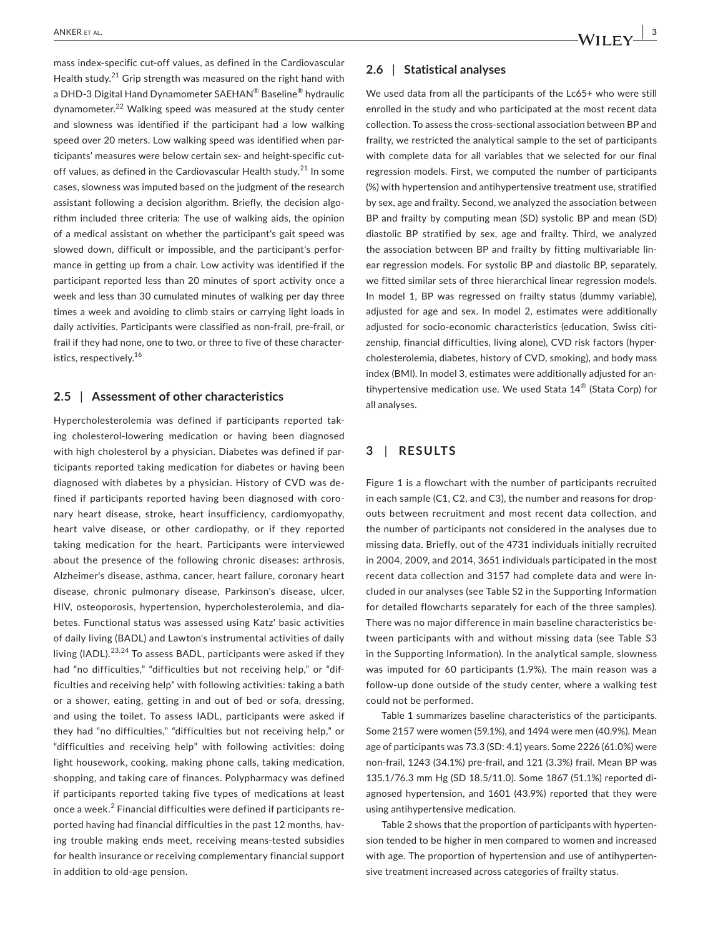mass index‐specific cut‐off values, as defined in the Cardiovascular Health study.<sup>21</sup> Grip strength was measured on the right hand with a DHD‐3 Digital Hand Dynamometer SAEHAN® Baseline® hydraulic dynamometer.<sup>22</sup> Walking speed was measured at the study center and slowness was identified if the participant had a low walking speed over 20 meters. Low walking speed was identified when participants' measures were below certain sex- and height-specific cutoff values, as defined in the Cardiovascular Health study.<sup>21</sup> In some cases, slowness was imputed based on the judgment of the research assistant following a decision algorithm. Briefly, the decision algorithm included three criteria: The use of walking aids, the opinion of a medical assistant on whether the participant's gait speed was slowed down, difficult or impossible, and the participant's perfor‐ mance in getting up from a chair. Low activity was identified if the participant reported less than 20 minutes of sport activity once a week and less than 30 cumulated minutes of walking per day three times a week and avoiding to climb stairs or carrying light loads in daily activities. Participants were classified as non‐frail, pre‐frail, or frail if they had none, one to two, or three to five of these character‐ istics, respectively.<sup>16</sup>

### **2.5** | **Assessment of other characteristics**

Hypercholesterolemia was defined if participants reported tak‐ ing cholesterol‐lowering medication or having been diagnosed with high cholesterol by a physician. Diabetes was defined if participants reported taking medication for diabetes or having been diagnosed with diabetes by a physician. History of CVD was de‐ fined if participants reported having been diagnosed with coronary heart disease, stroke, heart insufficiency, cardiomyopathy, heart valve disease, or other cardiopathy, or if they reported taking medication for the heart. Participants were interviewed about the presence of the following chronic diseases: arthrosis, Alzheimer's disease, asthma, cancer, heart failure, coronary heart disease, chronic pulmonary disease, Parkinson's disease, ulcer, HIV, osteoporosis, hypertension, hypercholesterolemia, and dia‐ betes. Functional status was assessed using Katz' basic activities of daily living (BADL) and Lawton's instrumental activities of daily living (IADL).<sup>23,24</sup> To assess BADL, participants were asked if they had "no difficulties," "difficulties but not receiving help," or "difficulties and receiving help" with following activities: taking a bath or a shower, eating, getting in and out of bed or sofa, dressing, and using the toilet. To assess IADL, participants were asked if they had "no difficulties," "difficulties but not receiving help," or "difficulties and receiving help" with following activities: doing light housework, cooking, making phone calls, taking medication, shopping, and taking care of finances. Polypharmacy was defined if participants reported taking five types of medications at least once a week.<sup>2</sup> Financial difficulties were defined if participants reported having had financial difficulties in the past 12 months, having trouble making ends meet, receiving means-tested subsidies for health insurance or receiving complementary financial support in addition to old‐age pension.

## **2.6** | **Statistical analyses**

We used data from all the participants of the Lc65+ who were still enrolled in the study and who participated at the most recent data collection. To assess the cross‐sectional association between BP and frailty, we restricted the analytical sample to the set of participants with complete data for all variables that we selected for our final regression models. First, we computed the number of participants (%) with hypertension and antihypertensive treatment use, stratified by sex, age and frailty. Second, we analyzed the association between BP and frailty by computing mean (SD) systolic BP and mean (SD) diastolic BP stratified by sex, age and frailty. Third, we analyzed the association between BP and frailty by fitting multivariable lin‐ ear regression models. For systolic BP and diastolic BP, separately, we fitted similar sets of three hierarchical linear regression models. In model 1, BP was regressed on frailty status (dummy variable), adjusted for age and sex. In model 2, estimates were additionally adjusted for socio‐economic characteristics (education, Swiss citi‐ zenship, financial difficulties, living alone), CVD risk factors (hyper‐ cholesterolemia, diabetes, history of CVD, smoking), and body mass index (BMI). In model 3, estimates were additionally adjusted for an‐ tihypertensive medication use. We used Stata 14® (Stata Corp) for all analyses.

## **3** | **RESULTS**

Figure 1 is a flowchart with the number of participants recruited in each sample (C1, C2, and C3), the number and reasons for drop‐ outs between recruitment and most recent data collection, and the number of participants not considered in the analyses due to missing data. Briefly, out of the 4731 individuals initially recruited in 2004, 2009, and 2014, 3651 individuals participated in the most recent data collection and 3157 had complete data and were in‐ cluded in our analyses (see Table S2 in the Supporting Information for detailed flowcharts separately for each of the three samples). There was no major difference in main baseline characteristics be‐ tween participants with and without missing data (see Table S3 in the Supporting Information). In the analytical sample, slowness was imputed for 60 participants (1.9%). The main reason was a follow‐up done outside of the study center, where a walking test could not be performed.

Table 1 summarizes baseline characteristics of the participants. Some 2157 were women (59.1%), and 1494 were men (40.9%). Mean age of participants was 73.3 (SD: 4.1) years. Some 2226 (61.0%) were non‐frail, 1243 (34.1%) pre‐frail, and 121 (3.3%) frail. Mean BP was 135.1/76.3 mm Hg (SD 18.5/11.0). Some 1867 (51.1%) reported di‐ agnosed hypertension, and 1601 (43.9%) reported that they were using antihypertensive medication.

Table 2 shows that the proportion of participants with hyperten‐ sion tended to be higher in men compared to women and increased with age. The proportion of hypertension and use of antihyperten‐ sive treatment increased across categories of frailty status.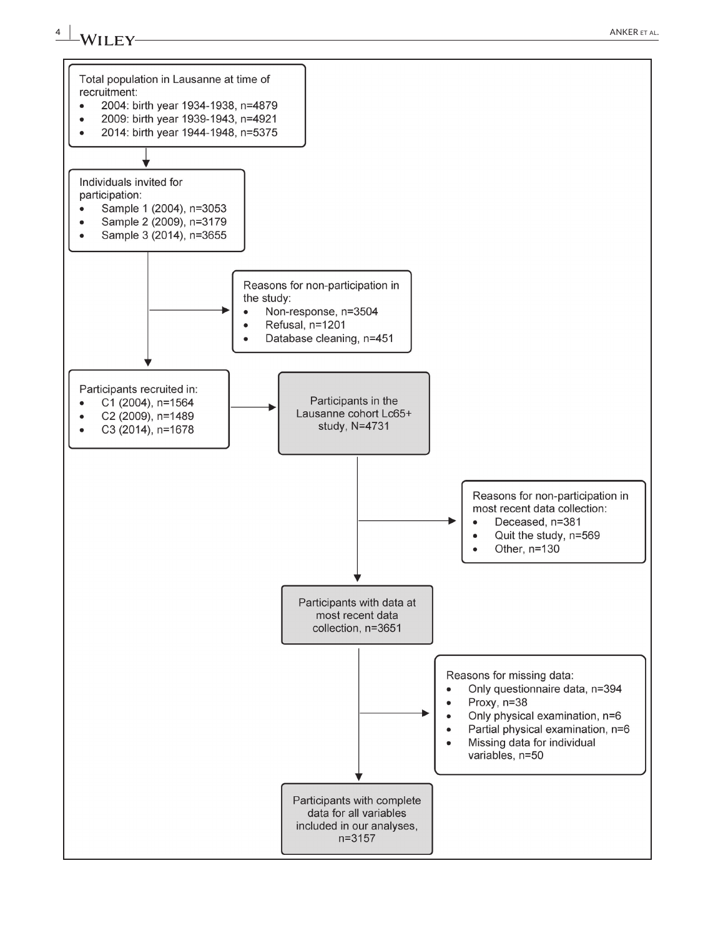

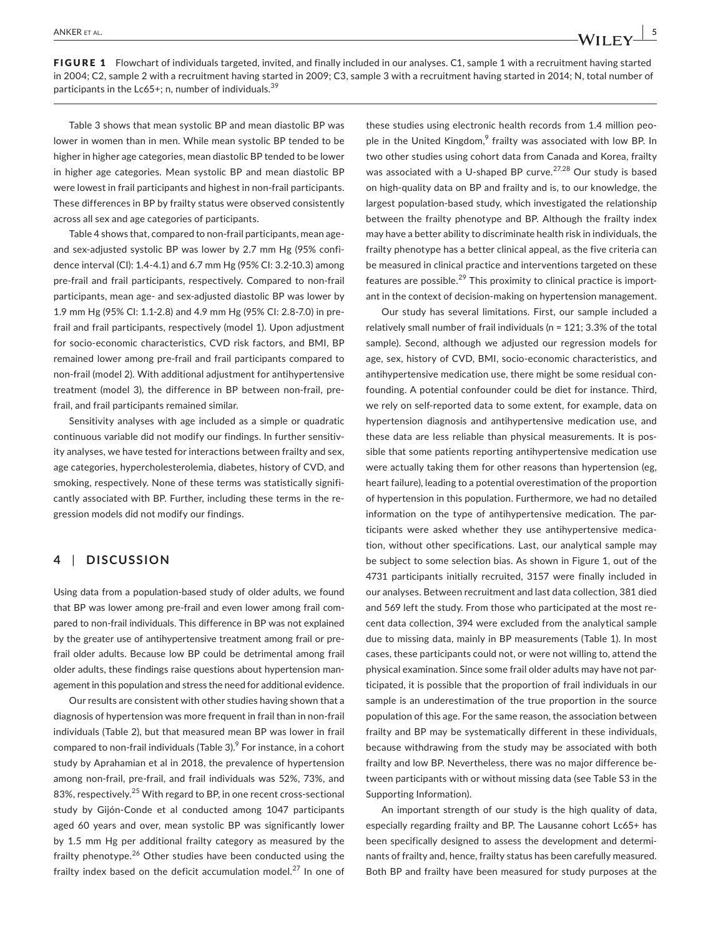FIGURE 1 Flowchart of individuals targeted, invited, and finally included in our analyses. C1, sample 1 with a recruitment having started in 2004; C2, sample 2 with a recruitment having started in 2009; C3, sample 3 with a recruitment having started in 2014; N, total number of participants in the Lc65+; n, number of individuals. $35$ 

Table 3 shows that mean systolic BP and mean diastolic BP was lower in women than in men. While mean systolic BP tended to be higher in higher age categories, mean diastolic BP tended to be lower in higher age categories. Mean systolic BP and mean diastolic BP were lowest in frail participants and highest in non-frail participants. These differences in BP by frailty status were observed consistently across all sex and age categories of participants.

Table 4 shows that, compared to non‐frail participants, mean age‐ and sex-adjusted systolic BP was lower by 2.7 mm Hg (95% confidence interval (CI): 1.4‐4.1) and 6.7 mm Hg (95% CI: 3.2‐10.3) among pre-frail and frail participants, respectively. Compared to non-frail participants, mean age- and sex-adjusted diastolic BP was lower by 1.9 mm Hg (95% CI: 1.1‐2.8) and 4.9 mm Hg (95% CI: 2.8‐7.0) in pre‐ frail and frail participants, respectively (model 1). Upon adjustment for socio‐economic characteristics, CVD risk factors, and BMI, BP remained lower among pre‐frail and frail participants compared to non‐frail (model 2). With additional adjustment for antihypertensive treatment (model 3), the difference in BP between non-frail, prefrail, and frail participants remained similar.

Sensitivity analyses with age included as a simple or quadratic continuous variable did not modify our findings. In further sensitivity analyses, we have tested for interactions between frailty and sex, age categories, hypercholesterolemia, diabetes, history of CVD, and smoking, respectively. None of these terms was statistically significantly associated with BP. Further, including these terms in the re‐ gression models did not modify our findings.

## **4** | **DISCUSSION**

Using data from a population‐based study of older adults, we found that BP was lower among pre‐frail and even lower among frail com‐ pared to non-frail individuals. This difference in BP was not explained by the greater use of antihypertensive treatment among frail or pre‐ frail older adults. Because low BP could be detrimental among frail older adults, these findings raise questions about hypertension man‐ agement in this population and stress the need for additional evidence.

Our results are consistent with other studies having shown that a diagnosis of hypertension was more frequent in frail than in non‐frail individuals (Table 2), but that measured mean BP was lower in frail compared to non-frail individuals (Table 3). $9$  For instance, in a cohort study by Aprahamian et al in 2018, the prevalence of hypertension among non‐frail, pre‐frail, and frail individuals was 52%, 73%, and 83%, respectively.<sup>25</sup> With regard to BP, in one recent cross-sectional study by Gijón‐Conde et al conducted among 1047 participants aged 60 years and over, mean systolic BP was significantly lower by 1.5 mm Hg per additional frailty category as measured by the frailty phenotype.<sup>26</sup> Other studies have been conducted using the frailty index based on the deficit accumulation model. $^{27}$  In one of these studies using electronic health records from 1.4 million peo‐ ple in the United Kingdom, $<sup>9</sup>$  frailty was associated with low BP. In</sup> two other studies using cohort data from Canada and Korea, frailty was associated with a U-shaped BP curve.<sup>27,28</sup> Our study is based on high‐quality data on BP and frailty and is, to our knowledge, the largest population‐based study, which investigated the relationship between the frailty phenotype and BP. Although the frailty index may have a better ability to discriminate health risk in individuals, the frailty phenotype has a better clinical appeal, as the five criteria can be measured in clinical practice and interventions targeted on these features are possible.<sup>29</sup> This proximity to clinical practice is important in the context of decision‐making on hypertension management.

Our study has several limitations. First, our sample included a relatively small number of frail individuals (n = 121; 3.3% of the total sample). Second, although we adjusted our regression models for age, sex, history of CVD, BMI, socio‐economic characteristics, and antihypertensive medication use, there might be some residual con‐ founding. A potential confounder could be diet for instance. Third, we rely on self‐reported data to some extent, for example, data on hypertension diagnosis and antihypertensive medication use, and these data are less reliable than physical measurements. It is pos‐ sible that some patients reporting antihypertensive medication use were actually taking them for other reasons than hypertension (eg, heart failure), leading to a potential overestimation of the proportion of hypertension in this population. Furthermore, we had no detailed information on the type of antihypertensive medication. The participants were asked whether they use antihypertensive medica‐ tion, without other specifications. Last, our analytical sample may be subject to some selection bias. As shown in Figure 1, out of the 4731 participants initially recruited, 3157 were finally included in our analyses. Between recruitment and last data collection, 381 died and 569 left the study. From those who participated at the most re‐ cent data collection, 394 were excluded from the analytical sample due to missing data, mainly in BP measurements (Table 1). In most cases, these participants could not, or were not willing to, attend the physical examination. Since some frail older adults may have not participated, it is possible that the proportion of frail individuals in our sample is an underestimation of the true proportion in the source population of this age. For the same reason, the association between frailty and BP may be systematically different in these individuals, because withdrawing from the study may be associated with both frailty and low BP. Nevertheless, there was no major difference be‐ tween participants with or without missing data (see Table S3 in the Supporting Information).

An important strength of our study is the high quality of data, especially regarding frailty and BP. The Lausanne cohort Lc65+ has been specifically designed to assess the development and determi‐ nants of frailty and, hence, frailty status has been carefully measured. Both BP and frailty have been measured for study purposes at the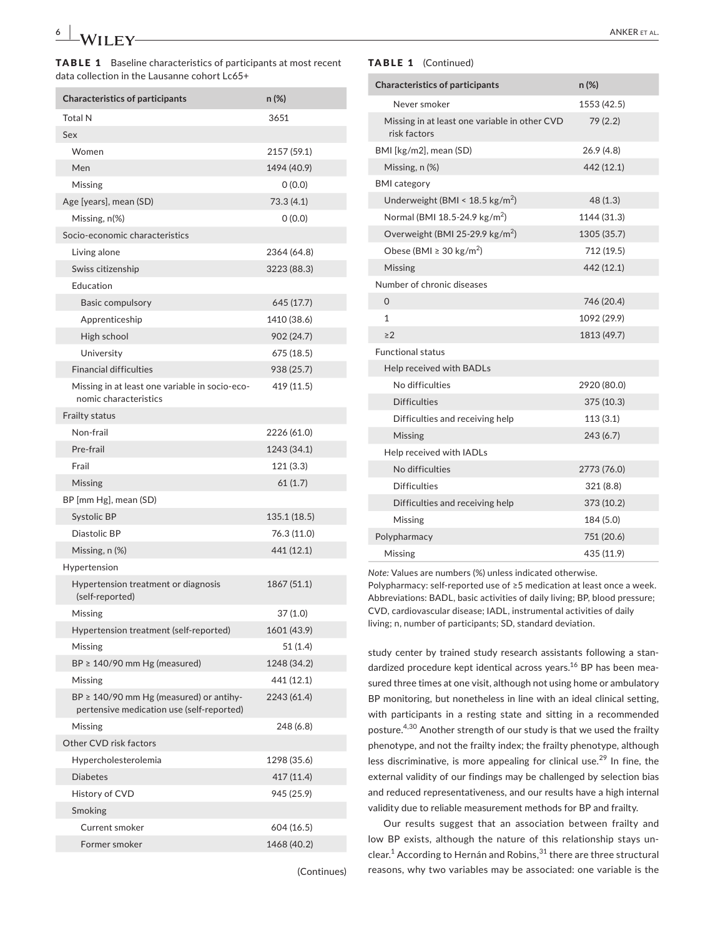TABLE 1 Baseline characteristics of participants at most recent data collection in the Lausanne cohort Lc65+

| <b>Characteristics of participants</b>                                                    | n (%)        |
|-------------------------------------------------------------------------------------------|--------------|
| <b>Total N</b>                                                                            | 3651         |
| Sex                                                                                       |              |
| Women                                                                                     | 2157 (59.1)  |
| Men                                                                                       | 1494 (40.9)  |
| Missing                                                                                   | 0(0.0)       |
| Age [years], mean (SD)                                                                    | 73.3 (4.1)   |
| Missing, n(%)                                                                             | 0(0.0)       |
| Socio-economic characteristics                                                            |              |
| Living alone                                                                              | 2364 (64.8)  |
| Swiss citizenship                                                                         | 3223 (88.3)  |
| Education                                                                                 |              |
| Basic compulsory                                                                          | 645 (17.7)   |
| Apprenticeship                                                                            | 1410 (38.6)  |
| High school                                                                               | 902 (24.7)   |
| University                                                                                | 675(18.5)    |
| <b>Financial difficulties</b>                                                             | 938 (25.7)   |
| Missing in at least one variable in socio-eco-<br>nomic characteristics                   | 419 (11.5)   |
| <b>Frailty status</b>                                                                     |              |
| Non-frail                                                                                 | 2226 (61.0)  |
| Pre-frail                                                                                 | 1243 (34.1)  |
| Frail                                                                                     | 121(3.3)     |
| Missing                                                                                   | 61(1.7)      |
| BP [mm Hg], mean (SD)                                                                     |              |
| Systolic BP                                                                               | 135.1 (18.5) |
| Diastolic BP                                                                              | 76.3 (11.0)  |
| Missing, n (%)                                                                            | 441 (12.1)   |
| Hypertension                                                                              |              |
| Hypertension treatment or diagnosis<br>(self-reported)                                    | 1867 (51.1)  |
| Missing                                                                                   | 37 (1.0)     |
| Hypertension treatment (self-reported)                                                    | 1601 (43.9)  |
| Missing                                                                                   | 51 (1.4)     |
| $BP \geq 140/90$ mm Hg (measured)                                                         | 1248 (34.2)  |
| Missing                                                                                   | 441 (12.1)   |
| $BP \geq 140/90$ mm Hg (measured) or antihy-<br>pertensive medication use (self-reported) | 2243 (61.4)  |
| Missing                                                                                   | 248 (6.8)    |
| Other CVD risk factors                                                                    |              |
| Hypercholesterolemia                                                                      | 1298 (35.6)  |
| <b>Diabetes</b>                                                                           | 417 (11.4)   |
| History of CVD                                                                            | 945 (25.9)   |
| Smoking                                                                                   |              |
| Current smoker                                                                            | 604 (16.5)   |
| Former smoker                                                                             | 1468 (40.2)  |

(Continues)

#### TABLE 1 (Continued)

| Never smoker<br>1553 (42.5)<br>79(2.2)<br>Missing in at least one variable in other CVD<br>risk factors<br>BMI [kg/m2], mean (SD)<br>26.9(4.8)<br>442 (12.1)<br>Missing, n (%)<br><b>BMI</b> category<br>Underweight (BMI < $18.5 \text{ kg/m}^2$ )<br>48(1.3)<br>Normal (BMI 18.5-24.9 kg/m <sup>2</sup> )<br>1144 (31.3)<br>Overweight (BMI 25-29.9 $\text{kg/m}^2$ )<br>1305 (35.7)<br>Obese (BMI $\geq$ 30 kg/m <sup>2</sup> )<br>712 (19.5)<br><b>Missing</b><br>442 (12.1)<br>Number of chronic diseases<br>$\Omega$<br>746 (20.4)<br>$\mathbf{1}$<br>1092 (29.9)<br>>2<br>1813 (49.7)<br><b>Functional status</b><br>Help received with BADLs<br>No difficulties<br>2920 (80.0)<br><b>Difficulties</b><br>375 (10.3) |
|-----------------------------------------------------------------------------------------------------------------------------------------------------------------------------------------------------------------------------------------------------------------------------------------------------------------------------------------------------------------------------------------------------------------------------------------------------------------------------------------------------------------------------------------------------------------------------------------------------------------------------------------------------------------------------------------------------------------------------|
|                                                                                                                                                                                                                                                                                                                                                                                                                                                                                                                                                                                                                                                                                                                             |
|                                                                                                                                                                                                                                                                                                                                                                                                                                                                                                                                                                                                                                                                                                                             |
|                                                                                                                                                                                                                                                                                                                                                                                                                                                                                                                                                                                                                                                                                                                             |
|                                                                                                                                                                                                                                                                                                                                                                                                                                                                                                                                                                                                                                                                                                                             |
|                                                                                                                                                                                                                                                                                                                                                                                                                                                                                                                                                                                                                                                                                                                             |
|                                                                                                                                                                                                                                                                                                                                                                                                                                                                                                                                                                                                                                                                                                                             |
|                                                                                                                                                                                                                                                                                                                                                                                                                                                                                                                                                                                                                                                                                                                             |
|                                                                                                                                                                                                                                                                                                                                                                                                                                                                                                                                                                                                                                                                                                                             |
|                                                                                                                                                                                                                                                                                                                                                                                                                                                                                                                                                                                                                                                                                                                             |
|                                                                                                                                                                                                                                                                                                                                                                                                                                                                                                                                                                                                                                                                                                                             |
|                                                                                                                                                                                                                                                                                                                                                                                                                                                                                                                                                                                                                                                                                                                             |
|                                                                                                                                                                                                                                                                                                                                                                                                                                                                                                                                                                                                                                                                                                                             |
|                                                                                                                                                                                                                                                                                                                                                                                                                                                                                                                                                                                                                                                                                                                             |
|                                                                                                                                                                                                                                                                                                                                                                                                                                                                                                                                                                                                                                                                                                                             |
|                                                                                                                                                                                                                                                                                                                                                                                                                                                                                                                                                                                                                                                                                                                             |
|                                                                                                                                                                                                                                                                                                                                                                                                                                                                                                                                                                                                                                                                                                                             |
|                                                                                                                                                                                                                                                                                                                                                                                                                                                                                                                                                                                                                                                                                                                             |
|                                                                                                                                                                                                                                                                                                                                                                                                                                                                                                                                                                                                                                                                                                                             |
| Difficulties and receiving help<br>113(3.1)                                                                                                                                                                                                                                                                                                                                                                                                                                                                                                                                                                                                                                                                                 |
| Missing<br>243 (6.7)                                                                                                                                                                                                                                                                                                                                                                                                                                                                                                                                                                                                                                                                                                        |
| Help received with IADLs                                                                                                                                                                                                                                                                                                                                                                                                                                                                                                                                                                                                                                                                                                    |
| No difficulties<br>2773 (76.0)                                                                                                                                                                                                                                                                                                                                                                                                                                                                                                                                                                                                                                                                                              |
| <b>Difficulties</b><br>321(8.8)                                                                                                                                                                                                                                                                                                                                                                                                                                                                                                                                                                                                                                                                                             |
| Difficulties and receiving help<br>373 (10.2)                                                                                                                                                                                                                                                                                                                                                                                                                                                                                                                                                                                                                                                                               |
| 184 (5.0)<br>Missing                                                                                                                                                                                                                                                                                                                                                                                                                                                                                                                                                                                                                                                                                                        |
| 751 (20.6)<br>Polypharmacy                                                                                                                                                                                                                                                                                                                                                                                                                                                                                                                                                                                                                                                                                                  |
| 435 (11.9)<br>Missing                                                                                                                                                                                                                                                                                                                                                                                                                                                                                                                                                                                                                                                                                                       |

*Note:* Values are numbers (%) unless indicated otherwise. Polypharmacy: self-reported use of ≥5 medication at least once a week. Abbreviations: BADL, basic activities of daily living; BP, blood pressure; CVD, cardiovascular disease; IADL, instrumental activities of daily living; n, number of participants; SD, standard deviation.

study center by trained study research assistants following a stan‐ dardized procedure kept identical across years.<sup>16</sup> BP has been measured three times at one visit, although not using home or ambulatory BP monitoring, but nonetheless in line with an ideal clinical setting, with participants in a resting state and sitting in a recommended posture.4,30 Another strength of our study is that we used the frailty phenotype, and not the frailty index; the frailty phenotype, although less discriminative, is more appealing for clinical use.<sup>29</sup> In fine, the external validity of our findings may be challenged by selection bias and reduced representativeness, and our results have a high internal validity due to reliable measurement methods for BP and frailty.

Our results suggest that an association between frailty and low BP exists, although the nature of this relationship stays un‐ clear.<sup>1</sup> According to Hernán and Robins,<sup>31</sup> there are three structural reasons, why two variables may be associated: one variable is the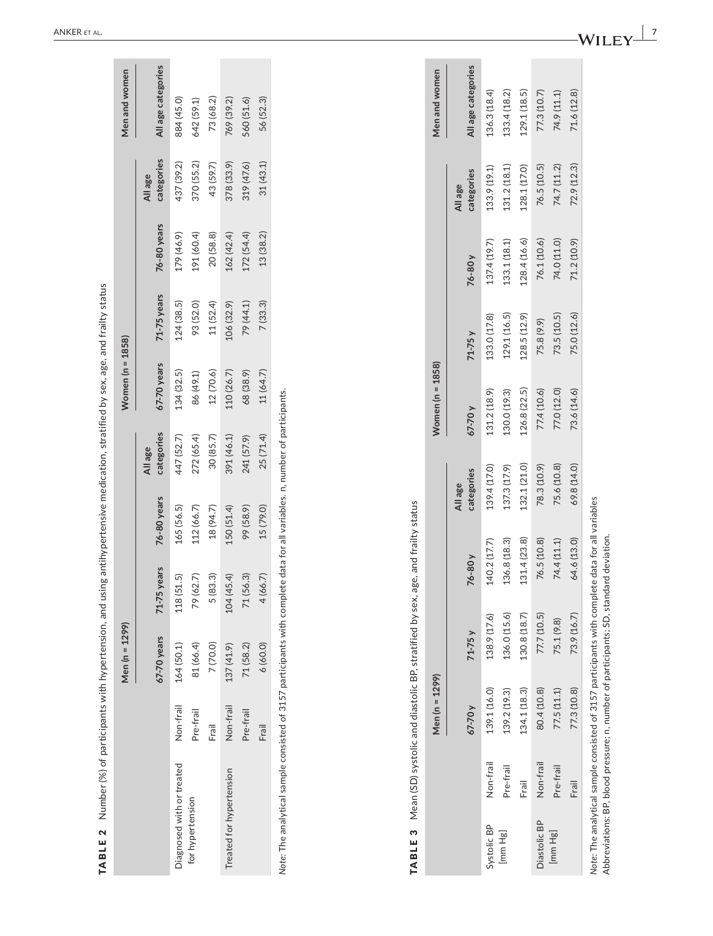|                                                                                       |           |              | Men (n = 1299)                                                                                  |              |                       |                       | Women (n = 1858) |              |              |                       | Men and women      |
|---------------------------------------------------------------------------------------|-----------|--------------|-------------------------------------------------------------------------------------------------|--------------|-----------------------|-----------------------|------------------|--------------|--------------|-----------------------|--------------------|
|                                                                                       |           |              | 67-70 years                                                                                     | 71-75 years  | 76-80 years           | categories<br>All age | 67-70 years      | 71-75 years  | 76-80 years  | categories<br>All age | All age categories |
| Diagnosed with or treated                                                             |           | Non-frail    | 164 (50.1)                                                                                      | 118(51.5)    | 165 (56.5)            | 447 (52.7)            | 134 (32.5)       | 124 (38.5)   | 179 (46.9)   | 437 (39.2)            | 884 (45.0)         |
| for hypertension                                                                      |           | Pre-frail    | 81 (66.4)                                                                                       | 79 (62.7)    | 112 (66.7)            | 272 (65.4)            | 86 (49.1)        | 93 (52.0)    | 191 (60.4)   | 370 (55.2)            | 642 (59.1)         |
|                                                                                       |           | Frail        | 7 (70.0)                                                                                        | 5(83.3)      | 18 (94.7)             | 30 (85.7)             | 12(70.6)         | 11(52.4)     | 20(58.8)     | 43 (59.7)             | 73 (68.2)          |
| Treated for hypertension                                                              |           | Non-frail    | 137(41.9)                                                                                       | 104(45.4)    | 150 (51.4)            | 391 (46.1)            | 110 (26.7)       | 106 (32.9)   | 162 (42.4)   | 378 (33.9)            | 769 (39.2)         |
|                                                                                       |           | Pre-frail    | 71(58.2)                                                                                        | 71 (56.3)    | 99 (58.9)             | 241 (57.9)            | 68 (38.9)        | 79 (44.1)    | 172(54.4)    | 319 (47.6)            | 560 (51.6)         |
|                                                                                       |           | Frail        | 6(60.0)                                                                                         | 4(66.7)      | 15 (79.0)             | 25(71.4)              | 11 (64.7)        | 7(33.3)      | 13(38.2)     | 31(43.1)              | 56 (52.3)          |
|                                                                                       |           | $67-70y$     | $71-75y$                                                                                        | 76-80 y      | categories<br>All age |                       | $67-70y$         | $71-75y$     | 76-80y       | categories<br>All age |                    |
|                                                                                       |           |              |                                                                                                 |              |                       |                       |                  |              |              |                       | All age categories |
| Systolic BP                                                                           | Non-frail | 139.1 (16.0) | 138.9 (17.6)                                                                                    | 140.2 (17.7) |                       | 139.4 (17.0)          | 131.2 (18.9)     | 133.0 (17.8) | 137.4 (19.7) | 133.9 (19.1)          | 136.3 (18.4)       |
| [mm Hg]                                                                               | Pre-frail | 139.2 (19.3) | 136.0 (15.6)                                                                                    | 136.8 (18.3) |                       | 137.3 (17.9)          | 130.0 (19.3)     | 129.1 (16.5) | 133.1 (18.1) | 131.2 (18.1)          | 133.4 (18.2)       |
|                                                                                       | Frail     | 134.1 (18.3) | 130.8 (18.7)                                                                                    | 131.4 (23.8) |                       | 132.1 (21.0)          | 126.8 (22.5)     | 128.5(12.9)  | 128.4(16.6)  | 128.1 (17.0)          | 129.1 (18.5)       |
| Diastolic BP                                                                          | Non-frail | 80.4 (10.8)  | 77.7 (10.5)                                                                                     | 76.5 (10.8)  |                       | 78.3 (10.9)           | 77.4 (10.6)      | 75.8 (9.9)   | 76.1 (10.6)  | 76.5 (10.5)           | 77.3 (10.7)        |
| [mmHg]                                                                                | Pre-frail | 77.5(11.1)   | 75.1 (9.8)                                                                                      | 74.4 (11.1)  |                       | 75.6 (10.8)           | 77.0 (12.0)      | 73.5 (10.5)  | 74.0 (11.0)  | 74.7 (11.2)           | 74.9 (11.1)        |
|                                                                                       | Frail     | 77.3 (10.8)  | 73.9 (16.7)                                                                                     | 64.6 (13.0)  |                       | 69.8 (14.0)           | 73.6(14.6)       | 75.0 (12.6)  | 71.2 (10.9)  | 72.9 (12.3)           | 71.6 (12.8)        |
| Abbreviations: BP, blood pressure; n, number of participants; SD, standard deviation. |           |              | Note: The analytical sample consisted of 3157 participants with complete data for all variables |              |                       |                       |                  |              |              |                       |                    |

|              |           | Men (n = 1299)                                                        |              |                             |                       | Women ( $n = 1858$ ) |              |              |                       | Men and women      |
|--------------|-----------|-----------------------------------------------------------------------|--------------|-----------------------------|-----------------------|----------------------|--------------|--------------|-----------------------|--------------------|
|              |           | 67-70 y                                                               | $71-75y$     | 76-80 y                     | categories<br>All age | 67-70 y              | $71-75y$     | 76-80y       | categories<br>All age | All age categories |
| Systolic BP  | Non-frail | 139.1 (16.0)                                                          | 138.9 (17.6) | 140.2 (17.7)                | 139.4 (17.0)          | 131.2 (18.9)         | 133.0 (17.8) | 137.4 (19.7) | 133.9 (19.1)          | 136.3 (18.4)       |
| [mm Hg]      | Pre-frail | 139.2 (19.3)                                                          | 136.0 (15.6) | 136.8 (18.3)                | 137.3 (17.9)          | 130.0 (19.3)         | 129.1 (16.5) | 133.1 (18.1) | 131.2 (18.1)          | 133.4(18.2)        |
|              | Frail     | 134.1 (18.3)                                                          | 130.8 (18.7) | 131.4(23.8)                 | 132.1(21.0)           | 126.8 (22.5)         | 128.5 (12.9) | 128.4(16.6)  | 128.1 (17.0)          | 129.1 (18.5)       |
| Diastolic BP | Non-frail | 80.4 (10.8)                                                           | 77.7 (10.5)  | 76.5 (10.8)                 | 78.3 (10.9)           | 77.4 (10.6)          | 75.8 (9.9)   | 76.1 (10.6)  | 76.5 (10.5)           | 77.3 (10.7)        |
| [mm Hg]      | Pre-frail | 77.5(11.1)                                                            | 75.1 (9.8)   | 74.4 (11.1)                 | 75.6 (10.8)           | 77.0 (12.0)          | 73.5 (10.5)  | 74.0 (11.0)  | 74.7 (11.2)           | 74.9 (11.1)        |
|              | Frail     | 77.3 (10.8)                                                           | 73.9 (16.7)  | 64.6 (13.0)                 | 69.8 (14.0)           | 73.6(14.6)           | 75.0 (12.6)  | 71.2 (10.9)  | 72.9 (12.3)           | 71.6(12.8)         |
|              |           | vote: The analytical sample consisted of 3157 participants with compl |              | lete data for all variables |                       |                      |              |              |                       |                    |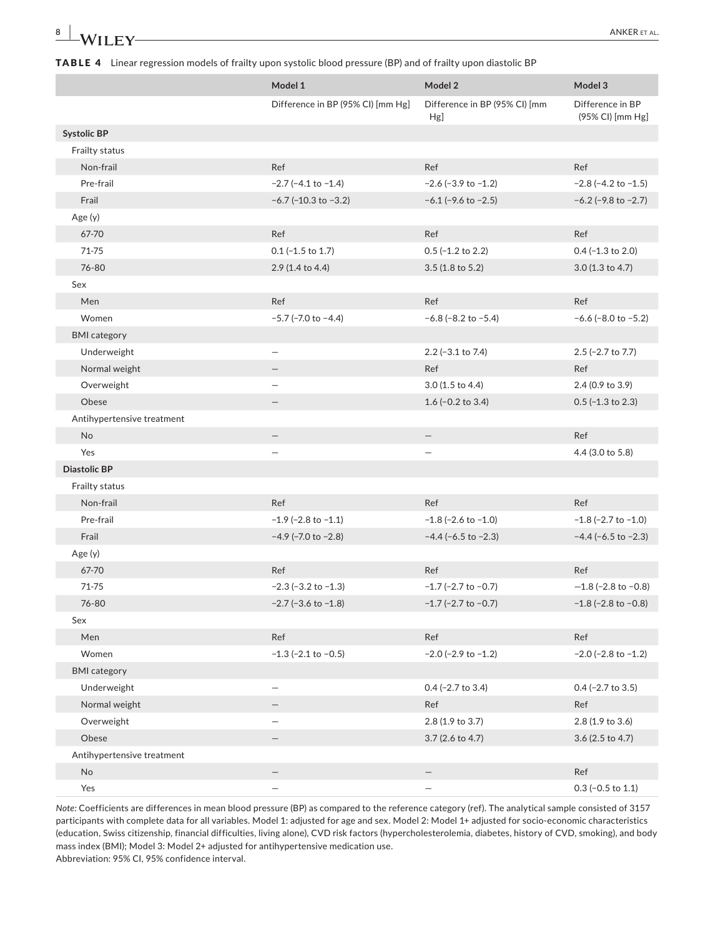## TABLE 4 Linear regression models of frailty upon systolic blood pressure (BP) and of frailty upon diastolic BP

|                            | Model 1                           | Model 2                              | Model 3                              |
|----------------------------|-----------------------------------|--------------------------------------|--------------------------------------|
|                            | Difference in BP (95% CI) [mm Hg] | Difference in BP (95% CI) [mm<br>Hg] | Difference in BP<br>(95% CI) [mm Hg] |
| <b>Systolic BP</b>         |                                   |                                      |                                      |
| Frailty status             |                                   |                                      |                                      |
| Non-frail                  | Ref                               | Ref                                  | Ref                                  |
| Pre-frail                  | $-2.7$ ( $-4.1$ to $-1.4$ )       | $-2.6$ ( $-3.9$ to $-1.2$ )          | $-2.8$ ( $-4.2$ to $-1.5$ )          |
| Frail                      | $-6.7$ (-10.3 to $-3.2$ )         | $-6.1$ ( $-9.6$ to $-2.5$ )          | $-6.2$ (-9.8 to $-2.7$ )             |
| Age(y)                     |                                   |                                      |                                      |
| 67-70                      | Ref                               | Ref                                  | Ref                                  |
| 71-75                      | $0.1$ (-1.5 to 1.7)               | $0.5$ (-1.2 to 2.2)                  | $0.4$ (-1.3 to 2.0)                  |
| 76-80                      | 2.9 (1.4 to 4.4)                  | 3.5 (1.8 to 5.2)                     | 3.0 (1.3 to 4.7)                     |
| Sex                        |                                   |                                      |                                      |
| Men                        | Ref                               | Ref                                  | Ref                                  |
| Women                      | $-5.7$ ( $-7.0$ to $-4.4$ )       | $-6.8$ (-8.2 to $-5.4$ )             | $-6.6$ ( $-8.0$ to $-5.2$ )          |
| <b>BMI</b> category        |                                   |                                      |                                      |
| Underweight                | $\overline{\phantom{0}}$          | $2.2$ (-3.1 to 7.4)                  | 2.5 (-2.7 to 7.7)                    |
| Normal weight              |                                   | Ref                                  | Ref                                  |
| Overweight                 |                                   | 3.0 (1.5 to 4.4)                     | 2.4 (0.9 to 3.9)                     |
| Obese                      |                                   | 1.6 $(-0.2$ to 3.4)                  | $0.5$ (-1.3 to 2.3)                  |
| Antihypertensive treatment |                                   |                                      |                                      |
| No                         | -                                 | $\overline{\phantom{0}}$             | Ref                                  |
| Yes                        |                                   |                                      | 4.4 (3.0 to 5.8)                     |
| <b>Diastolic BP</b>        |                                   |                                      |                                      |
| Frailty status             |                                   |                                      |                                      |
| Non-frail                  | Ref                               | Ref                                  | Ref                                  |
| Pre-frail                  | $-1.9$ ( $-2.8$ to $-1.1$ )       | $-1.8$ (-2.6 to $-1.0$ )             | $-1.8$ (-2.7 to $-1.0$ )             |
| Frail                      | $-4.9$ (-7.0 to $-2.8$ )          | $-4.4$ ( $-6.5$ to $-2.3$ )          | $-4.4$ ( $-6.5$ to $-2.3$ )          |
| Age (y)                    |                                   |                                      |                                      |
| 67-70                      | Ref                               | Ref                                  | Ref                                  |
| 71-75                      | $-2.3$ ( $-3.2$ to $-1.3$ )       | $-1.7$ (-2.7 to $-0.7$ )             | $-1.8$ (-2.8 to -0.8)                |
| 76-80                      | $-2.7$ ( $-3.6$ to $-1.8$ )       | $-1.7$ (-2.7 to $-0.7$ )             | $-1.8$ ( $-2.8$ to $-0.8$ )          |
| Sex                        |                                   |                                      |                                      |
| Men                        | Ref                               | Ref                                  | Ref                                  |
| Women                      | $-1.3$ ( $-2.1$ to $-0.5$ )       | $-2.0$ ( $-2.9$ to $-1.2$ )          | $-2.0$ ( $-2.8$ to $-1.2$ )          |
| <b>BMI</b> category        |                                   |                                      |                                      |
| Underweight                | $\overline{\phantom{0}}$          | $0.4$ (-2.7 to 3.4)                  | $0.4$ (-2.7 to 3.5)                  |
| Normal weight              |                                   | Ref                                  | Ref                                  |
| Overweight                 | -                                 | 2.8 (1.9 to 3.7)                     | 2.8 (1.9 to 3.6)                     |
| Obese                      |                                   | 3.7 (2.6 to 4.7)                     | 3.6 (2.5 to 4.7)                     |
| Antihypertensive treatment |                                   |                                      |                                      |
| No                         |                                   |                                      | Ref                                  |
| Yes                        |                                   |                                      | $0.3$ (-0.5 to 1.1)                  |

*Note:* Coefficients are differences in mean blood pressure (BP) as compared to the reference category (ref). The analytical sample consisted of 3157 participants with complete data for all variables. Model 1: adjusted for age and sex. Model 2: Model 1+ adjusted for socio‐economic characteristics (education, Swiss citizenship, financial difficulties, living alone), CVD risk factors (hypercholesterolemia, diabetes, history of CVD, smoking), and body mass index (BMI); Model 3: Model 2+ adjusted for antihypertensive medication use.

Abbreviation: 95% CI, 95% confidence interval.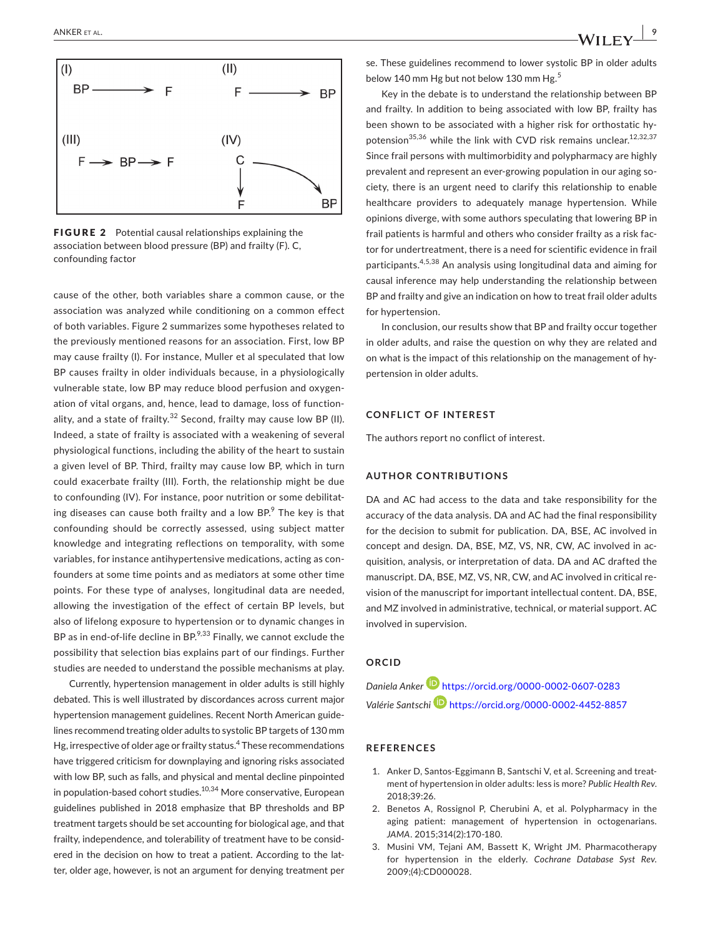

FIGURE 2 Potential causal relationships explaining the association between blood pressure (BP) and frailty (F). C, confounding factor

cause of the other, both variables share a common cause, or the association was analyzed while conditioning on a common effect of both variables. Figure 2 summarizes some hypotheses related to the previously mentioned reasons for an association. First, low BP may cause frailty (I). For instance, Muller et al speculated that low BP causes frailty in older individuals because, in a physiologically vulnerable state, low BP may reduce blood perfusion and oxygen‐ ation of vital organs, and, hence, lead to damage, loss of function‐ ality, and a state of frailty. $32$  Second, frailty may cause low BP (II). Indeed, a state of frailty is associated with a weakening of several physiological functions, including the ability of the heart to sustain a given level of BP. Third, frailty may cause low BP, which in turn could exacerbate frailty (III). Forth, the relationship might be due to confounding (IV). For instance, poor nutrition or some debilitating diseases can cause both frailty and a low BP. $9$  The key is that confounding should be correctly assessed, using subject matter knowledge and integrating reflections on temporality, with some variables, for instance antihypertensive medications, acting as con‐ founders at some time points and as mediators at some other time points. For these type of analyses, longitudinal data are needed, allowing the investigation of the effect of certain BP levels, but also of lifelong exposure to hypertension or to dynamic changes in BP as in end-of-life decline in BP.<sup>9,33</sup> Finally, we cannot exclude the possibility that selection bias explains part of our findings. Further studies are needed to understand the possible mechanisms at play.

Currently, hypertension management in older adults is still highly debated. This is well illustrated by discordances across current major hypertension management guidelines. Recent North American guide‐ lines recommend treating older adults to systolic BP targets of 130 mm Hg, irrespective of older age or frailty status.<sup>4</sup> These recommendations have triggered criticism for downplaying and ignoring risks associated with low BP, such as falls, and physical and mental decline pinpointed in population-based cohort studies.<sup>10,34</sup> More conservative, European guidelines published in 2018 emphasize that BP thresholds and BP treatment targets should be set accounting for biological age, and that frailty, independence, and tolerability of treatment have to be consid‐ ered in the decision on how to treat a patient. According to the latter, older age, however, is not an argument for denying treatment per

se. These guidelines recommend to lower systolic BP in older adults below 140 mm Hg but not below 130 mm Hg.<sup>5</sup>

Key in the debate is to understand the relationship between BP and frailty. In addition to being associated with low BP, frailty has been shown to be associated with a higher risk for orthostatic hypotension<sup>35,36</sup> while the link with CVD risk remains unclear.<sup>12,32,37</sup> Since frail persons with multimorbidity and polypharmacy are highly prevalent and represent an ever‐growing population in our aging so‐ ciety, there is an urgent need to clarify this relationship to enable healthcare providers to adequately manage hypertension. While opinions diverge, with some authors speculating that lowering BP in frail patients is harmful and others who consider frailty as a risk fac‐ tor for undertreatment, there is a need for scientific evidence in frail participants.4,5,38 An analysis using longitudinal data and aiming for causal inference may help understanding the relationship between BP and frailty and give an indication on how to treat frail older adults for hypertension.

In conclusion, our results show that BP and frailty occur together in older adults, and raise the question on why they are related and on what is the impact of this relationship on the management of hy‐ pertension in older adults.

## **CONFLICT OF INTEREST**

The authors report no conflict of interest.

### **AUTHOR CONTRIBUTIONS**

DA and AC had access to the data and take responsibility for the accuracy of the data analysis. DA and AC had the final responsibility for the decision to submit for publication. DA, BSE, AC involved in concept and design. DA, BSE, MZ, VS, NR, CW, AC involved in acquisition, analysis, or interpretation of data. DA and AC drafted the manuscript. DA, BSE, MZ, VS, NR, CW, and AC involved in critical re‐ vision of the manuscript for important intellectual content. DA, BSE, and MZ involved in administrative, technical, or material support. AC involved in supervision.

## **ORCID**

*Daniela Anker* <https://orcid.org/0000-0002-0607-0283> *Valérie Santschi* <https://orcid.org/0000-0002-4452-8857>

### **REFERENCES**

- 1. Anker D, Santos-Eggimann B, Santschi V, et al. Screening and treatment of hypertension in older adults: less is more? *Public Health Rev*. 2018;39:26.
- 2. Benetos A, Rossignol P, Cherubini A, et al. Polypharmacy in the aging patient: management of hypertension in octogenarians. *JAMA*. 2015;314(2):170‐180.
- 3. Musini VM, Tejani AM, Bassett K, Wright JM. Pharmacotherapy for hypertension in the elderly. *Cochrane Database Syst Rev*. 2009;(4):CD000028.